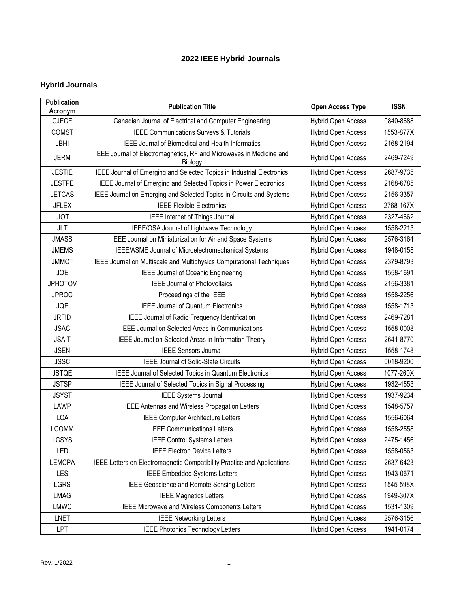## **2022 IEEE Hybrid Journals**

## **Hybrid Journals**

| <b>Publication</b><br>Acronym | <b>Publication Title</b>                                                       | <b>Open Access Type</b>   | <b>ISSN</b> |
|-------------------------------|--------------------------------------------------------------------------------|---------------------------|-------------|
| <b>CJECE</b>                  | Canadian Journal of Electrical and Computer Engineering                        | <b>Hybrid Open Access</b> | 0840-8688   |
| <b>COMST</b>                  | IEEE Communications Surveys & Tutorials                                        | Hybrid Open Access        | 1553-877X   |
| <b>JBHI</b>                   | <b>IEEE Journal of Biomedical and Health Informatics</b>                       | Hybrid Open Access        | 2168-2194   |
| <b>JERM</b>                   | IEEE Journal of Electromagnetics, RF and Microwaves in Medicine and<br>Biology | <b>Hybrid Open Access</b> | 2469-7249   |
| <b>JESTIE</b>                 | IEEE Journal of Emerging and Selected Topics in Industrial Electronics         | Hybrid Open Access        | 2687-9735   |
| <b>JESTPE</b>                 | IEEE Journal of Emerging and Selected Topics in Power Electronics              | <b>Hybrid Open Access</b> | 2168-6785   |
| <b>JETCAS</b>                 | IEEE Journal on Emerging and Selected Topics in Circuits and Systems           | Hybrid Open Access        | 2156-3357   |
| <b>JFLEX</b>                  | <b>IEEE Flexible Electronics</b>                                               | <b>Hybrid Open Access</b> | 2768-167X   |
| <b>JIOT</b>                   | IEEE Internet of Things Journal                                                | <b>Hybrid Open Access</b> | 2327-4662   |
| <b>JLT</b>                    | IEEE/OSA Journal of Lightwave Technology                                       | <b>Hybrid Open Access</b> | 1558-2213   |
| <b>JMASS</b>                  | IEEE Journal on Miniaturization for Air and Space Systems                      | <b>Hybrid Open Access</b> | 2576-3164   |
| <b>JMEMS</b>                  | IEEE/ASME Journal of Microelectromechanical Systems                            | <b>Hybrid Open Access</b> | 1948-0158   |
| <b>JMMCT</b>                  | IEEE Journal on Multiscale and Multiphysics Computational Techniques           | <b>Hybrid Open Access</b> | 2379-8793   |
| <b>JOE</b>                    | <b>IEEE Journal of Oceanic Engineering</b>                                     | <b>Hybrid Open Access</b> | 1558-1691   |
| <b>JPHOTOV</b>                | <b>IEEE Journal of Photovoltaics</b>                                           | <b>Hybrid Open Access</b> | 2156-3381   |
| <b>JPROC</b>                  | Proceedings of the IEEE                                                        | <b>Hybrid Open Access</b> | 1558-2256   |
| <b>JQE</b>                    | <b>IEEE Journal of Quantum Electronics</b>                                     | Hybrid Open Access        | 1558-1713   |
| <b>JRFID</b>                  | IEEE Journal of Radio Frequency Identification                                 | Hybrid Open Access        | 2469-7281   |
| <b>JSAC</b>                   | <b>IEEE Journal on Selected Areas in Communications</b>                        | <b>Hybrid Open Access</b> | 1558-0008   |
| <b>JSAIT</b>                  | IEEE Journal on Selected Areas in Information Theory                           | <b>Hybrid Open Access</b> | 2641-8770   |
| <b>JSEN</b>                   | <b>IEEE Sensors Journal</b>                                                    | Hybrid Open Access        | 1558-1748   |
| <b>JSSC</b>                   | IEEE Journal of Solid-State Circuits                                           | Hybrid Open Access        | 0018-9200   |
| <b>JSTQE</b>                  | IEEE Journal of Selected Topics in Quantum Electronics                         | <b>Hybrid Open Access</b> | 1077-260X   |
| <b>JSTSP</b>                  | IEEE Journal of Selected Topics in Signal Processing                           | <b>Hybrid Open Access</b> | 1932-4553   |
| <b>JSYST</b>                  | <b>IEEE Systems Journal</b>                                                    | Hybrid Open Access        | 1937-9234   |
| LAWP                          | IEEE Antennas and Wireless Propagation Letters                                 | Hybrid Open Access        | 1548-5757   |
| <b>LCA</b>                    | <b>IEEE Computer Architecture Letters</b>                                      | <b>Hybrid Open Access</b> | 1556-6064   |
| <b>LCOMM</b>                  | <b>IEEE Communications Letters</b>                                             | Hybrid Open Access        | 1558-2558   |
| <b>LCSYS</b>                  | <b>IEEE Control Systems Letters</b>                                            | Hybrid Open Access        | 2475-1456   |
| LED                           | <b>IEEE Electron Device Letters</b>                                            | Hybrid Open Access        | 1558-0563   |
| <b>LEMCPA</b>                 | IEEE Letters on Electromagnetic Compatibility Practice and Applications        | Hybrid Open Access        | 2637-6423   |
| LES                           | <b>IEEE Embedded Systems Letters</b>                                           | Hybrid Open Access        | 1943-0671   |
| LGRS                          | IEEE Geoscience and Remote Sensing Letters                                     | Hybrid Open Access        | 1545-598X   |
| <b>LMAG</b>                   | <b>IEEE Magnetics Letters</b>                                                  | Hybrid Open Access        | 1949-307X   |
| <b>LMWC</b>                   | IEEE Microwave and Wireless Components Letters                                 | Hybrid Open Access        | 1531-1309   |
| <b>LNET</b>                   | <b>IEEE Networking Letters</b>                                                 | Hybrid Open Access        | 2576-3156   |
| <b>LPT</b>                    | IEEE Photonics Technology Letters                                              | <b>Hybrid Open Access</b> | 1941-0174   |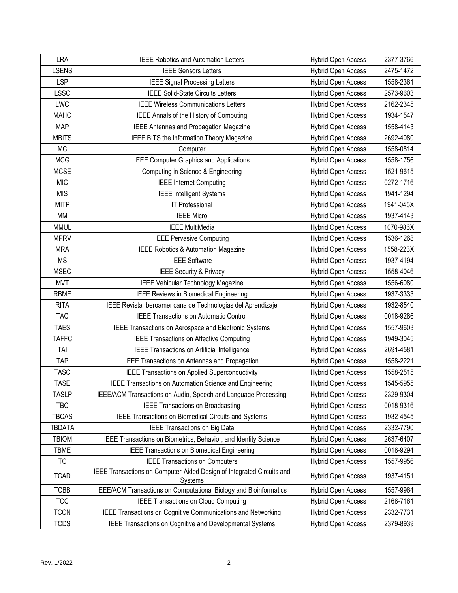| <b>LRA</b>    | <b>IEEE Robotics and Automation Letters</b>                                      | <b>Hybrid Open Access</b> | 2377-3766 |
|---------------|----------------------------------------------------------------------------------|---------------------------|-----------|
| <b>LSENS</b>  | <b>IEEE Sensors Letters</b>                                                      | <b>Hybrid Open Access</b> | 2475-1472 |
| <b>LSP</b>    | <b>IEEE Signal Processing Letters</b>                                            | Hybrid Open Access        | 1558-2361 |
| <b>LSSC</b>   | <b>IEEE Solid-State Circuits Letters</b>                                         | Hybrid Open Access        | 2573-9603 |
| LWC           | <b>IEEE Wireless Communications Letters</b>                                      | <b>Hybrid Open Access</b> | 2162-2345 |
| <b>MAHC</b>   | IEEE Annals of the History of Computing                                          | <b>Hybrid Open Access</b> | 1934-1547 |
| <b>MAP</b>    | IEEE Antennas and Propagation Magazine                                           | <b>Hybrid Open Access</b> | 1558-4143 |
| <b>MBITS</b>  | IEEE BITS the Information Theory Magazine                                        | <b>Hybrid Open Access</b> | 2692-4080 |
| <b>MC</b>     | Computer                                                                         | Hybrid Open Access        | 1558-0814 |
| <b>MCG</b>    | <b>IEEE Computer Graphics and Applications</b>                                   | <b>Hybrid Open Access</b> | 1558-1756 |
| <b>MCSE</b>   | Computing in Science & Engineering                                               | <b>Hybrid Open Access</b> | 1521-9615 |
| <b>MIC</b>    | <b>IEEE</b> Internet Computing                                                   | Hybrid Open Access        | 0272-1716 |
| <b>MIS</b>    | <b>IEEE Intelligent Systems</b>                                                  | Hybrid Open Access        | 1941-1294 |
| <b>MITP</b>   | IT Professional                                                                  | Hybrid Open Access        | 1941-045X |
| МM            | <b>IEEE Micro</b>                                                                | Hybrid Open Access        | 1937-4143 |
| <b>MMUL</b>   | <b>IEEE MultiMedia</b>                                                           | Hybrid Open Access        | 1070-986X |
| <b>MPRV</b>   | <b>IEEE Pervasive Computing</b>                                                  | Hybrid Open Access        | 1536-1268 |
| <b>MRA</b>    | IEEE Robotics & Automation Magazine                                              | <b>Hybrid Open Access</b> | 1558-223X |
| <b>MS</b>     | <b>IEEE</b> Software                                                             | Hybrid Open Access        | 1937-4194 |
| <b>MSEC</b>   | <b>IEEE Security &amp; Privacy</b>                                               | Hybrid Open Access        | 1558-4046 |
| <b>MVT</b>    | <b>IEEE Vehicular Technology Magazine</b>                                        | Hybrid Open Access        | 1556-6080 |
| <b>RBME</b>   | <b>IEEE Reviews in Biomedical Engineering</b>                                    | Hybrid Open Access        | 1937-3333 |
| <b>RITA</b>   | IEEE Revista Iberoamericana de Technologias del Aprendizaje                      | Hybrid Open Access        | 1932-8540 |
| <b>TAC</b>    | <b>IEEE Transactions on Automatic Control</b>                                    | Hybrid Open Access        | 0018-9286 |
| <b>TAES</b>   | IEEE Transactions on Aerospace and Electronic Systems                            | Hybrid Open Access        | 1557-9603 |
| <b>TAFFC</b>  | <b>IEEE Transactions on Affective Computing</b>                                  | Hybrid Open Access        | 1949-3045 |
| TAI           | IEEE Transactions on Artificial Intelligence                                     | Hybrid Open Access        | 2691-4581 |
| <b>TAP</b>    | IEEE Transactions on Antennas and Propagation                                    | Hybrid Open Access        | 1558-2221 |
| <b>TASC</b>   | IEEE Transactions on Applied Superconductivity                                   | Hybrid Open Access        | 1558-2515 |
| <b>TASE</b>   | IEEE Transactions on Automation Science and Engineering                          | Hybrid Open Access        | 1545-5955 |
| <b>TASLP</b>  | IEEE/ACM Transactions on Audio, Speech and Language Processing                   | Hybrid Open Access        | 2329-9304 |
| <b>TBC</b>    | <b>IEEE Transactions on Broadcasting</b>                                         | <b>Hybrid Open Access</b> | 0018-9316 |
| <b>TBCAS</b>  | IEEE Transactions on Biomedical Circuits and Systems                             | <b>Hybrid Open Access</b> | 1932-4545 |
| <b>TBDATA</b> | IEEE Transactions on Big Data                                                    | Hybrid Open Access        | 2332-7790 |
| <b>TBIOM</b>  | IEEE Transactions on Biometrics, Behavior, and Identity Science                  | <b>Hybrid Open Access</b> | 2637-6407 |
| <b>TBME</b>   | <b>IEEE Transactions on Biomedical Engineering</b>                               | <b>Hybrid Open Access</b> | 0018-9294 |
| <b>TC</b>     | <b>IEEE Transactions on Computers</b>                                            | <b>Hybrid Open Access</b> | 1557-9956 |
| <b>TCAD</b>   | IEEE Transactions on Computer-Aided Design of Integrated Circuits and<br>Systems | Hybrid Open Access        | 1937-4151 |
| <b>TCBB</b>   | IEEE/ACM Transactions on Computational Biology and Bioinformatics                | Hybrid Open Access        | 1557-9964 |
| <b>TCC</b>    | <b>IEEE Transactions on Cloud Computing</b>                                      | Hybrid Open Access        | 2168-7161 |
| <b>TCCN</b>   | IEEE Transactions on Cognitive Communications and Networking                     | <b>Hybrid Open Access</b> | 2332-7731 |
| <b>TCDS</b>   | IEEE Transactions on Cognitive and Developmental Systems                         | Hybrid Open Access        | 2379-8939 |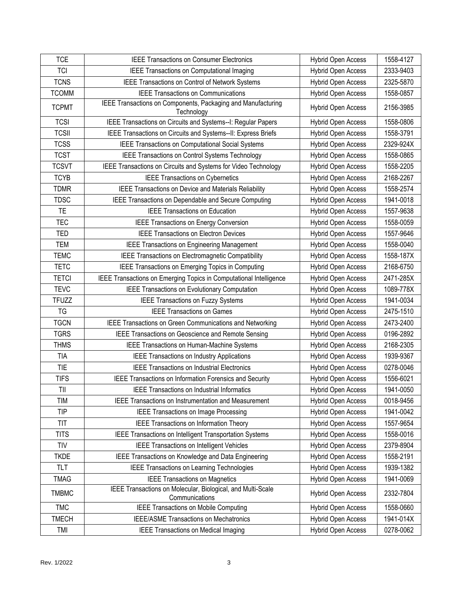| <b>TCE</b>   | <b>IEEE Transactions on Consumer Electronics</b>                              | Hybrid Open Access        | 1558-4127 |
|--------------|-------------------------------------------------------------------------------|---------------------------|-----------|
| <b>TCI</b>   | IEEE Transactions on Computational Imaging                                    | <b>Hybrid Open Access</b> | 2333-9403 |
| <b>TCNS</b>  | IEEE Transactions on Control of Network Systems                               | Hybrid Open Access        | 2325-5870 |
| <b>TCOMM</b> | <b>IEEE Transactions on Communications</b>                                    | Hybrid Open Access        | 1558-0857 |
| <b>TCPMT</b> | IEEE Transactions on Components, Packaging and Manufacturing<br>Technology    | Hybrid Open Access        | 2156-3985 |
| <b>TCSI</b>  | IEEE Transactions on Circuits and Systems--I: Regular Papers                  | <b>Hybrid Open Access</b> | 1558-0806 |
| <b>TCSII</b> | IEEE Transactions on Circuits and Systems--II: Express Briefs                 | Hybrid Open Access        | 1558-3791 |
| <b>TCSS</b>  | IEEE Transactions on Computational Social Systems                             | Hybrid Open Access        | 2329-924X |
| <b>TCST</b>  | IEEE Transactions on Control Systems Technology                               | <b>Hybrid Open Access</b> | 1558-0865 |
| <b>TCSVT</b> | IEEE Transactions on Circuits and Systems for Video Technology                | Hybrid Open Access        | 1558-2205 |
| <b>TCYB</b>  | <b>IEEE Transactions on Cybernetics</b>                                       | Hybrid Open Access        | 2168-2267 |
| <b>TDMR</b>  | IEEE Transactions on Device and Materials Reliability                         | Hybrid Open Access        | 1558-2574 |
| <b>TDSC</b>  | IEEE Transactions on Dependable and Secure Computing                          | Hybrid Open Access        | 1941-0018 |
| <b>TE</b>    | <b>IEEE Transactions on Education</b>                                         | <b>Hybrid Open Access</b> | 1557-9638 |
| <b>TEC</b>   | IEEE Transactions on Energy Conversion                                        | Hybrid Open Access        | 1558-0059 |
| TED          | <b>IEEE Transactions on Electron Devices</b>                                  | Hybrid Open Access        | 1557-9646 |
| <b>TEM</b>   | <b>IEEE Transactions on Engineering Management</b>                            | Hybrid Open Access        | 1558-0040 |
| <b>TEMC</b>  | IEEE Transactions on Electromagnetic Compatibility                            | Hybrid Open Access        | 1558-187X |
| <b>TETC</b>  | IEEE Transactions on Emerging Topics in Computing                             | Hybrid Open Access        | 2168-6750 |
| <b>TETCI</b> | IEEE Transactions on Emerging Topics in Computational Intelligence            | Hybrid Open Access        | 2471-285X |
| <b>TEVC</b>  | IEEE Transactions on Evolutionary Computation                                 | Hybrid Open Access        | 1089-778X |
| <b>TFUZZ</b> | <b>IEEE Transactions on Fuzzy Systems</b>                                     | Hybrid Open Access        | 1941-0034 |
| TG           | <b>IEEE Transactions on Games</b>                                             | Hybrid Open Access        | 2475-1510 |
| <b>TGCN</b>  | IEEE Transactions on Green Communications and Networking                      | <b>Hybrid Open Access</b> | 2473-2400 |
| <b>TGRS</b>  | IEEE Transactions on Geoscience and Remote Sensing                            | Hybrid Open Access        | 0196-2892 |
| <b>THMS</b>  | IEEE Transactions on Human-Machine Systems                                    | <b>Hybrid Open Access</b> | 2168-2305 |
| <b>TIA</b>   | <b>IEEE Transactions on Industry Applications</b>                             | Hybrid Open Access        | 1939-9367 |
| <b>TIE</b>   | <b>IEEE Transactions on Industrial Electronics</b>                            | Hybrid Open Access        | 0278-0046 |
| <b>TIFS</b>  | IEEE Transactions on Information Forensics and Security                       | <b>Hybrid Open Access</b> | 1556-6021 |
| TII          | <b>IEEE Transactions on Industrial Informatics</b>                            | Hybrid Open Access        | 1941-0050 |
| <b>TIM</b>   | <b>IEEE Transactions on Instrumentation and Measurement</b>                   | <b>Hybrid Open Access</b> | 0018-9456 |
| <b>TIP</b>   | <b>IEEE Transactions on Image Processing</b>                                  | Hybrid Open Access        | 1941-0042 |
| <b>TIT</b>   | <b>IEEE Transactions on Information Theory</b>                                | <b>Hybrid Open Access</b> | 1557-9654 |
| <b>TITS</b>  | IEEE Transactions on Intelligent Transportation Systems                       | Hybrid Open Access        | 1558-0016 |
| <b>TIV</b>   | <b>IEEE Transactions on Intelligent Vehicles</b>                              | Hybrid Open Access        | 2379-8904 |
| <b>TKDE</b>  | IEEE Transactions on Knowledge and Data Engineering                           | Hybrid Open Access        | 1558-2191 |
| <b>TLT</b>   | <b>IEEE Transactions on Learning Technologies</b>                             | Hybrid Open Access        | 1939-1382 |
| <b>TMAG</b>  | <b>IEEE Transactions on Magnetics</b>                                         | <b>Hybrid Open Access</b> | 1941-0069 |
| <b>TMBMC</b> | IEEE Transactions on Molecular, Biological, and Multi-Scale<br>Communications | Hybrid Open Access        | 2332-7804 |
| <b>TMC</b>   | <b>IEEE Transactions on Mobile Computing</b>                                  | Hybrid Open Access        | 1558-0660 |
| <b>TMECH</b> | IEEE/ASME Transactions on Mechatronics                                        | Hybrid Open Access        | 1941-014X |
| TMI          | <b>IEEE Transactions on Medical Imaging</b>                                   | Hybrid Open Access        | 0278-0062 |